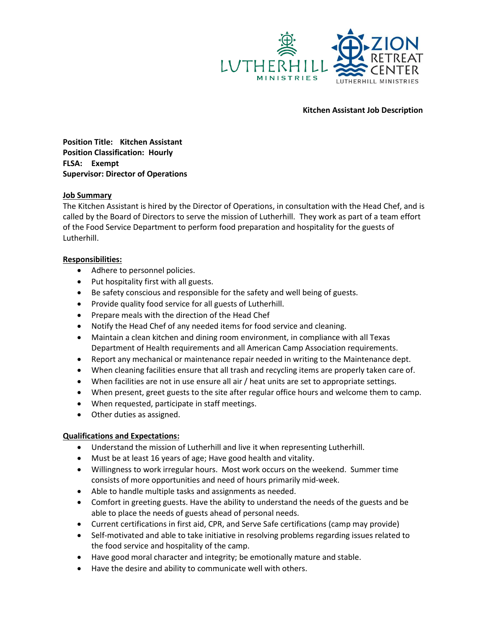

#### **Kitchen Assistant Job Description**

**Position Title: Kitchen Assistant Position Classification: Hourly FLSA: Exempt Supervisor: Director of Operations**

# **Job Summary**

The Kitchen Assistant is hired by the Director of Operations, in consultation with the Head Chef, and is called by the Board of Directors to serve the mission of Lutherhill. They work as part of a team effort of the Food Service Department to perform food preparation and hospitality for the guests of Lutherhill.

### **Responsibilities:**

- Adhere to personnel policies.
- Put hospitality first with all guests.
- Be safety conscious and responsible for the safety and well being of guests.
- Provide quality food service for all guests of Lutherhill.
- Prepare meals with the direction of the Head Chef
- Notify the Head Chef of any needed items for food service and cleaning.
- Maintain a clean kitchen and dining room environment, in compliance with all Texas Department of Health requirements and all American Camp Association requirements.
- Report any mechanical or maintenance repair needed in writing to the Maintenance dept.
- When cleaning facilities ensure that all trash and recycling items are properly taken care of.
- When facilities are not in use ensure all air / heat units are set to appropriate settings.
- When present, greet guests to the site after regular office hours and welcome them to camp.
- When requested, participate in staff meetings.
- Other duties as assigned.

# **Qualifications and Expectations:**

- Understand the mission of Lutherhill and live it when representing Lutherhill.
- Must be at least 16 years of age; Have good health and vitality.
- Willingness to work irregular hours. Most work occurs on the weekend. Summer time consists of more opportunities and need of hours primarily mid-week.
- Able to handle multiple tasks and assignments as needed.
- Comfort in greeting guests. Have the ability to understand the needs of the guests and be able to place the needs of guests ahead of personal needs.
- Current certifications in first aid, CPR, and Serve Safe certifications (camp may provide)
- Self-motivated and able to take initiative in resolving problems regarding issues related to the food service and hospitality of the camp.
- Have good moral character and integrity; be emotionally mature and stable.
- Have the desire and ability to communicate well with others.